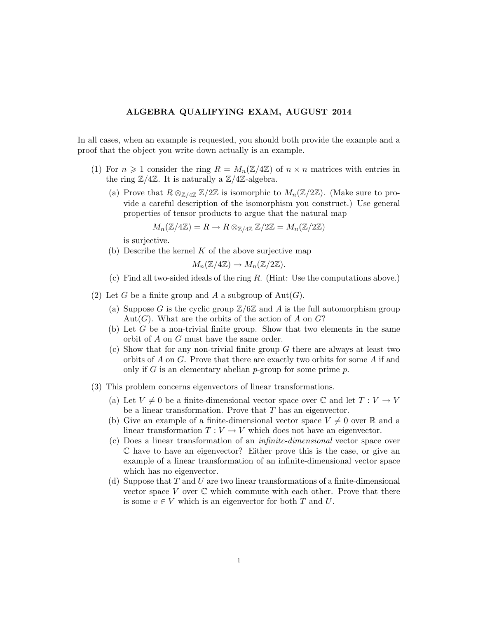## ALGEBRA QUALIFYING EXAM, AUGUST 2014

In all cases, when an example is requested, you should both provide the example and a proof that the object you write down actually is an example.

- (1) For  $n \geq 1$  consider the ring  $R = M_n(\mathbb{Z}/4\mathbb{Z})$  of  $n \times n$  matrices with entries in the ring  $\mathbb{Z}/4\mathbb{Z}$ . It is naturally a  $\mathbb{Z}/4\mathbb{Z}$ -algebra.
	- (a) Prove that  $R \otimes_{\mathbb{Z}/4\mathbb{Z}} \mathbb{Z}/2\mathbb{Z}$  is isomorphic to  $M_n(\mathbb{Z}/2\mathbb{Z})$ . (Make sure to provide a careful description of the isomorphism you construct.) Use general properties of tensor products to argue that the natural map

$$
M_n(\mathbb{Z}/4\mathbb{Z}) = R \to R \otimes_{\mathbb{Z}/4\mathbb{Z}} \mathbb{Z}/2\mathbb{Z} = M_n(\mathbb{Z}/2\mathbb{Z})
$$

is surjective.

(b) Describe the kernel  $K$  of the above surjective map

 $M_n(\mathbb{Z}/4\mathbb{Z}) \to M_n(\mathbb{Z}/2\mathbb{Z}).$ 

- (c) Find all two-sided ideals of the ring R. (Hint: Use the computations above.)
- (2) Let G be a finite group and A a subgroup of  $Aut(G)$ .
	- (a) Suppose G is the cyclic group  $\mathbb{Z}/6\mathbb{Z}$  and A is the full automorphism group Aut(G). What are the orbits of the action of A on  $G$ ?
	- (b) Let G be a non-trivial finite group. Show that two elements in the same orbit of A on G must have the same order.
	- $(c)$  Show that for any non-trivial finite group G there are always at least two orbits of A on G. Prove that there are exactly two orbits for some A if and only if G is an elementary abelian  $p$ -group for some prime  $p$ .
- (3) This problem concerns eigenvectors of linear transformations.
	- (a) Let  $V \neq 0$  be a finite-dimensional vector space over  $\mathbb C$  and let  $T : V \to V$ be a linear transformation. Prove that T has an eigenvector.
	- (b) Give an example of a finite-dimensional vector space  $V \neq 0$  over R and a linear transformation  $T: V \to V$  which does not have an eigenvector.
	- (c) Does a linear transformation of an infinite-dimensional vector space over C have to have an eigenvector? Either prove this is the case, or give an example of a linear transformation of an infinite-dimensional vector space which has no eigenvector.
	- (d) Suppose that  $T$  and  $U$  are two linear transformations of a finite-dimensional vector space V over  $\mathbb C$  which commute with each other. Prove that there is some  $v \in V$  which is an eigenvector for both T and U.